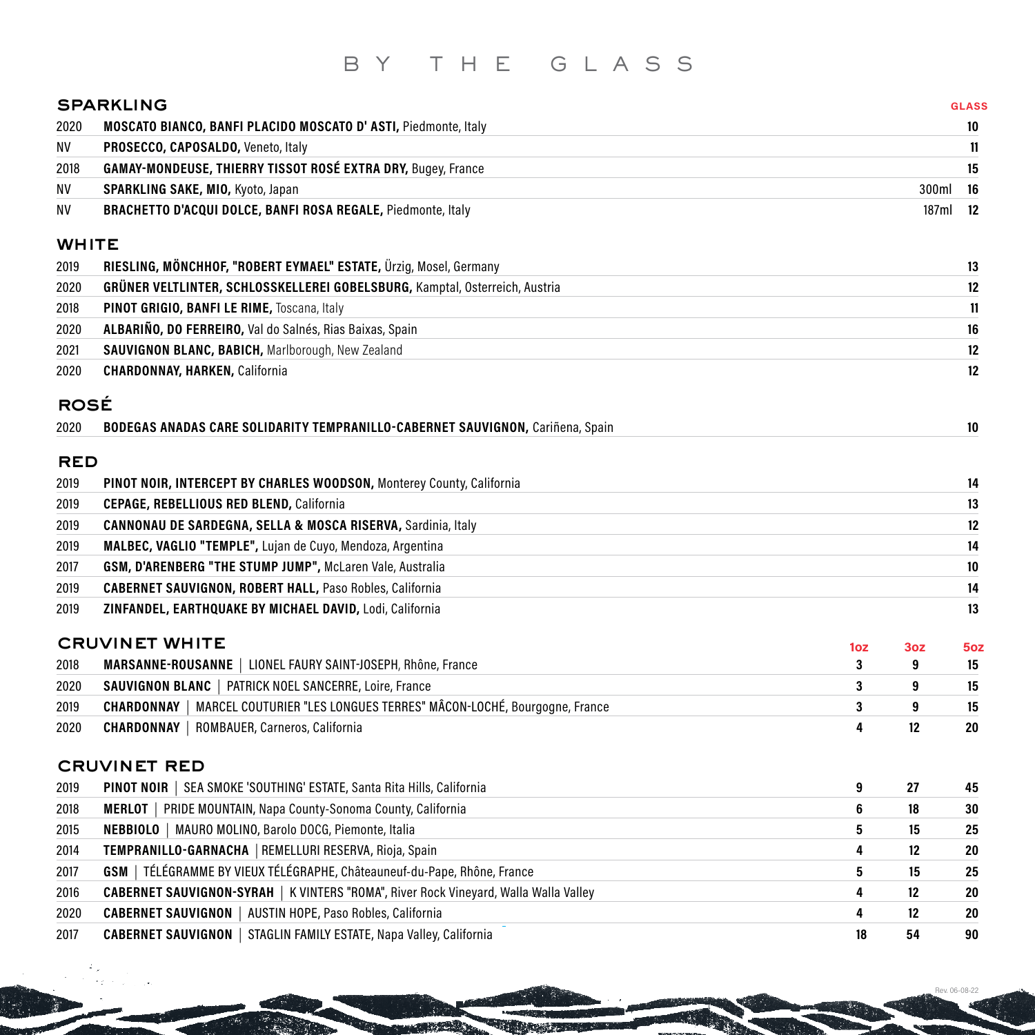# BY THE GLASS

|              | <b>SPARKLING</b>                                                                            |     |                 | <b>GLASS</b>    |
|--------------|---------------------------------------------------------------------------------------------|-----|-----------------|-----------------|
| 2020         | <b>MOSCATO BIANCO, BANFI PLACIDO MOSCATO D'ASTI, Piedmonte, Italy</b>                       |     |                 | 10              |
| ΝV           | PROSECCO, CAPOSALDO, Veneto, Italy                                                          |     |                 | 11              |
| 2018         | <b>GAMAY-MONDEUSE, THIERRY TISSOT ROSÉ EXTRA DRY, Bugey, France</b>                         |     |                 | 15              |
| NV           | SPARKLING SAKE, MIO, Kyoto, Japan                                                           |     | 300ml           | 16              |
| NV           | BRACHETTO D'ACQUI DOLCE, BANFI ROSA REGALE, Piedmonte, Italy                                |     | 187ml           | 12              |
|              |                                                                                             |     |                 |                 |
| <b>WHITE</b> |                                                                                             |     |                 |                 |
| 2019         | RIESLING, MÖNCHHOF, "ROBERT EYMAEL" ESTATE, Ürzig, Mosel, Germany                           |     |                 | 13              |
| 2020         | GRÜNER VELTLINTER, SCHLOSSKELLEREI GOBELSBURG, Kamptal, Osterreich, Austria                 |     |                 | 12              |
| 2018         | PINOT GRIGIO, BANFI LE RIME, Toscana, Italy                                                 |     |                 | 11              |
| 2020         | ALBARIÑO, DO FERREIRO, Val do Salnés, Rias Baixas, Spain                                    |     |                 | 16              |
| 2021         | SAUVIGNON BLANC, BABICH, Marlborough, New Zealand                                           |     |                 | 12              |
| 2020         | <b>CHARDONNAY, HARKEN, California</b>                                                       |     |                 | 12              |
|              |                                                                                             |     |                 |                 |
| <b>ROSÉ</b>  |                                                                                             |     |                 |                 |
| 2020         | BODEGAS ANADAS CARE SOLIDARITY TEMPRANILLO-CABERNET SAUVIGNON, Cariñena, Spain              |     |                 | 10              |
| <b>RED</b>   |                                                                                             |     |                 |                 |
| 2019         | PINOT NOIR, INTERCEPT BY CHARLES WOODSON, Monterey County, California                       |     |                 | 14              |
| 2019         | <b>CEPAGE, REBELLIOUS RED BLEND, California</b>                                             |     |                 | 13              |
| 2019         | <b>CANNONAU DE SARDEGNA, SELLA &amp; MOSCA RISERVA, Sardinia, Italy</b>                     |     |                 | 12              |
|              | MALBEC, VAGLIO "TEMPLE", Lujan de Cuyo, Mendoza, Argentina                                  |     |                 | 14              |
| 2019         |                                                                                             |     |                 |                 |
| 2017         | GSM, D'ARENBERG "THE STUMP JUMP", McLaren Vale, Australia                                   |     |                 | 10              |
| 2019         | <b>CABERNET SAUVIGNON, ROBERT HALL, Paso Robles, California</b>                             |     |                 | 14              |
| 2019         | ZINFANDEL, EARTHQUAKE BY MICHAEL DAVID, Lodi, California                                    |     |                 | 13              |
|              | <b>CRUVINET WHITE</b>                                                                       | 1oz | 3 <sub>oz</sub> | 5 <sub>oz</sub> |
| 2018         | MARSANNE-ROUSANNE   LIONEL FAURY SAINT-JOSEPH, Rhône, France                                | 3   | 9               | 15              |
| 2020         | SAUVIGNON BLANC   PATRICK NOEL SANCERRE, Loire, France                                      | 3   | 9               | 15              |
| 2019         | MARCEL COUTURIER "LES LONGUES TERRES" MÂCON-LOCHÉ, Bourgogne, France<br><b>CHARDONNAY</b>   | 3   | 9               | 15              |
| 2020         | <b>CHARDONNAY</b>   ROMBAUER, Carneros, California                                          | 4   | 12              | 20              |
|              |                                                                                             |     |                 |                 |
|              | <b>CRUVINET RED</b>                                                                         |     |                 |                 |
| 2019         | <b>PINOT NOIR</b>   SEA SMOKE 'SOUTHING' ESTATE, Santa Rita Hills, California               | 9   | 27              | 45              |
| 2018         | <b>MERLOT</b>   PRIDE MOUNTAIN, Napa County-Sonoma County, California                       | 6   | 18              | 30              |
| 2015         | NEBBIOLO   MAURO MOLINO, Barolo DOCG, Piemonte, Italia                                      | 5   | 15              | 25              |
| 2014         | TEMPRANILLO-GARNACHA   REMELLURI RESERVA, Rioja, Spain                                      | 4   | 12              | 20              |
| 2017         | GSM   TÉLÉGRAMME BY VIEUX TÉLÉGRAPHE, Châteauneuf-du-Pape, Rhône, France                    | 5   | 15              | 25              |
| 2016         | <b>CABERNET SAUVIGNON-SYRAH</b>   K VINTERS "ROMA", River Rock Vineyard, Walla Walla Valley | 4   | 12              | 20              |
| 2020         | <b>CABERNET SAUVIGNON   AUSTIN HOPE, Paso Robles, California</b>                            | 4   | 12              | 20              |
| 2017         | <b>CABERNET SAUVIGNON   STAGLIN FAMILY ESTATE, Napa Valley, California</b>                  | 18  | 54              | 90              |

Rev. 06-08-22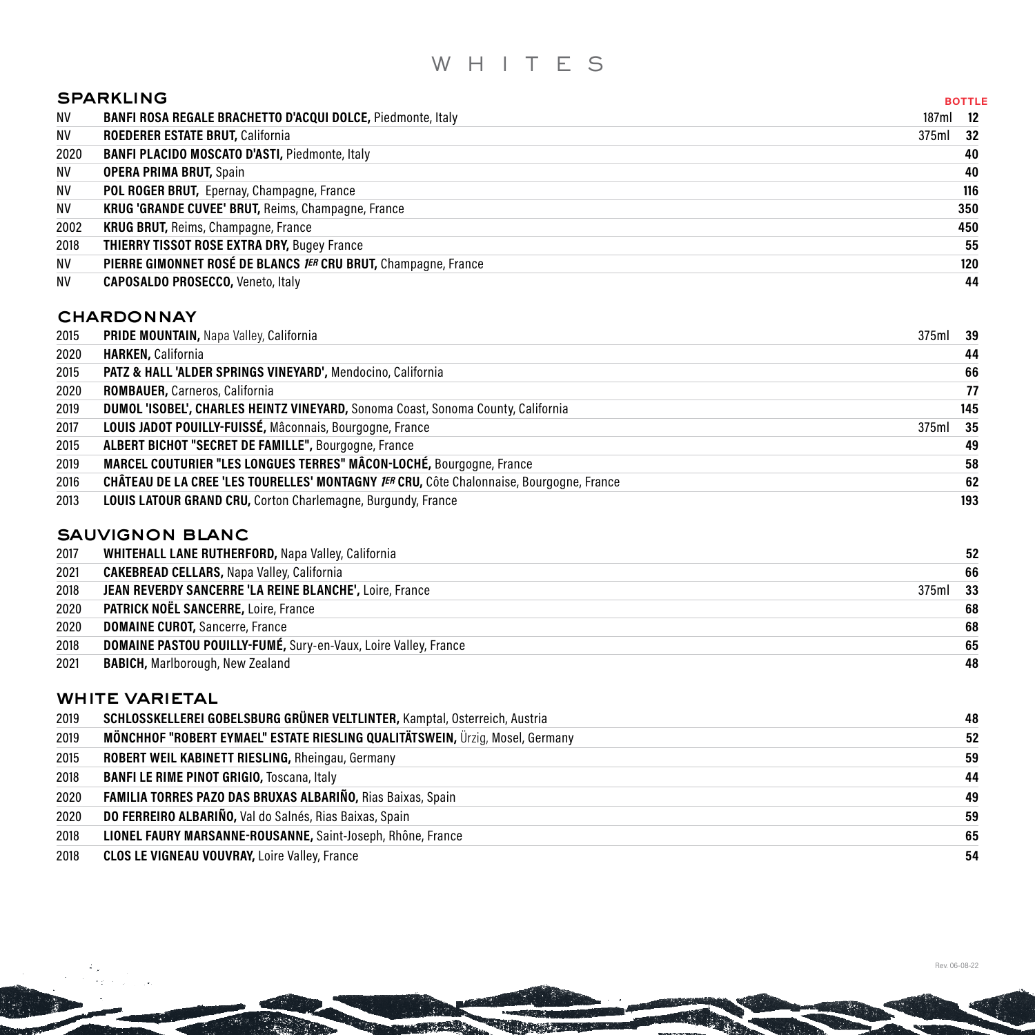# WHITES

|           | <b>SPARKLING</b>                                               | <b>BOTTLE</b> |
|-----------|----------------------------------------------------------------|---------------|
| NV        | BANFI ROSA REGALE BRACHETTO D'ACQUI DOLCE, Piedmonte, Italy    | 187ml<br>-12  |
| NV        | ROEDERER ESTATE BRUT, California                               | 375ml 32      |
| 2020      | <b>BANFI PLACIDO MOSCATO D'ASTI, Piedmonte, Italy</b>          | 40            |
| NV        | <b>OPERA PRIMA BRUT, Spain</b>                                 | 40            |
| NV        | POL ROGER BRUT, Epernay, Champagne, France                     | 116           |
| <b>NV</b> | KRUG 'GRANDE CUVEE' BRUT, Reims, Champagne, France             | 350           |
| 2002      | <b>KRUG BRUT, Reims, Champagne, France</b>                     | 450           |
| 2018      | <b>THIERRY TISSOT ROSE EXTRA DRY, Bugey France</b>             | 55            |
| <b>NV</b> | PIERRE GIMONNET ROSÉ DE BLANCS JER CRU BRUT, Champagne, France | 120           |
| NV        | <b>CAPOSALDO PROSECCO, Veneto, Italy</b>                       | 44            |

#### **CHARDONNAY**

| 2015 | PRIDE MOUNTAIN, Napa Valley, California                                                  | 375ml 39 |     |
|------|------------------------------------------------------------------------------------------|----------|-----|
| 2020 | <b>HARKEN, California</b>                                                                |          | 44  |
| 2015 | PATZ & HALL 'ALDER SPRINGS VINEYARD', Mendocino, California                              |          | 66  |
| 2020 | ROMBAUER, Carneros, California                                                           |          | 77  |
| 2019 | DUMOL 'ISOBEL', CHARLES HEINTZ VINEYARD, Sonoma Coast, Sonoma County, California         |          | 145 |
| 2017 | LOUIS JADOT POUILLY-FUISSÉ, Mâconnais, Bourgogne, France                                 | 375ml 35 |     |
| 2015 | ALBERT BICHOT "SECRET DE FAMILLE", Bourgogne, France                                     |          | 49  |
| 2019 | MARCEL COUTURIER "LES LONGUES TERRES" MÂCON-LOCHÉ, Bourgogne, France                     |          | 58  |
| 2016 | CHÂTEAU DE LA CREE 'LES TOURELLES' MONTAGNY JER CRU, Côte Chalonnaise, Bourgogne, France |          | 62  |
| 2013 | <b>LOUIS LATOUR GRAND CRU, Corton Charlemagne, Burgundy, France</b>                      |          | 193 |
|      |                                                                                          |          |     |

## sauvignon blanc

| 2017 | <b>WHITEHALL LANE RUTHERFORD, Napa Valley, California</b>              |       | 52   |
|------|------------------------------------------------------------------------|-------|------|
| 2021 | <b>CAKEBREAD CELLARS, Napa Valley, California</b>                      |       | 66   |
| 2018 | JEAN REVERDY SANCERRE 'LA REINE BLANCHE', Loire, France                | 375ml | - 33 |
| 2020 | PATRICK NOËL SANCERRE, Loire, France                                   |       | 68   |
| 2020 | <b>DOMAINE CUROT, Sancerre, France</b>                                 |       | 68   |
| 2018 | <b>DOMAINE PASTOU POUILLY-FUMÉ, Sury-en-Vaux, Loire Valley, France</b> |       | 65   |
| 2021 | <b>BABICH, Marlborough, New Zealand</b>                                |       | 48   |

#### white varietal

| 2019 | SCHLOSSKELLEREI GOBELSBURG GRÜNER VELTLINTER, Kamptal, Osterreich, Austria    | 48 |
|------|-------------------------------------------------------------------------------|----|
| 2019 | MÖNCHHOF "ROBERT EYMAEL" ESTATE RIESLING QUALITÄTSWEIN, Ürzig, Mosel, Germany | 52 |
| 2015 | ROBERT WEIL KABINETT RIESLING, Rheingau, Germany                              | 59 |
| 2018 | <b>BANFI LE RIME PINOT GRIGIO, Toscana, Italy</b>                             | 44 |
|      | 2020 FAMILIA TORRES PAZO DAS BRUXAS ALBARIÑO, Rias Baixas, Spain              | 49 |
| 2020 | DO FERREIRO ALBARIÑO, Val do Salnés, Rias Baixas, Spain                       | 59 |
| 2018 | LIONEL FAURY MARSANNE-ROUSANNE, Saint-Joseph, Rhône, France                   | 65 |
| 2018 | <b>CLOS LE VIGNEAU VOUVRAY, Loire Valley, France</b>                          | 54 |

**Department**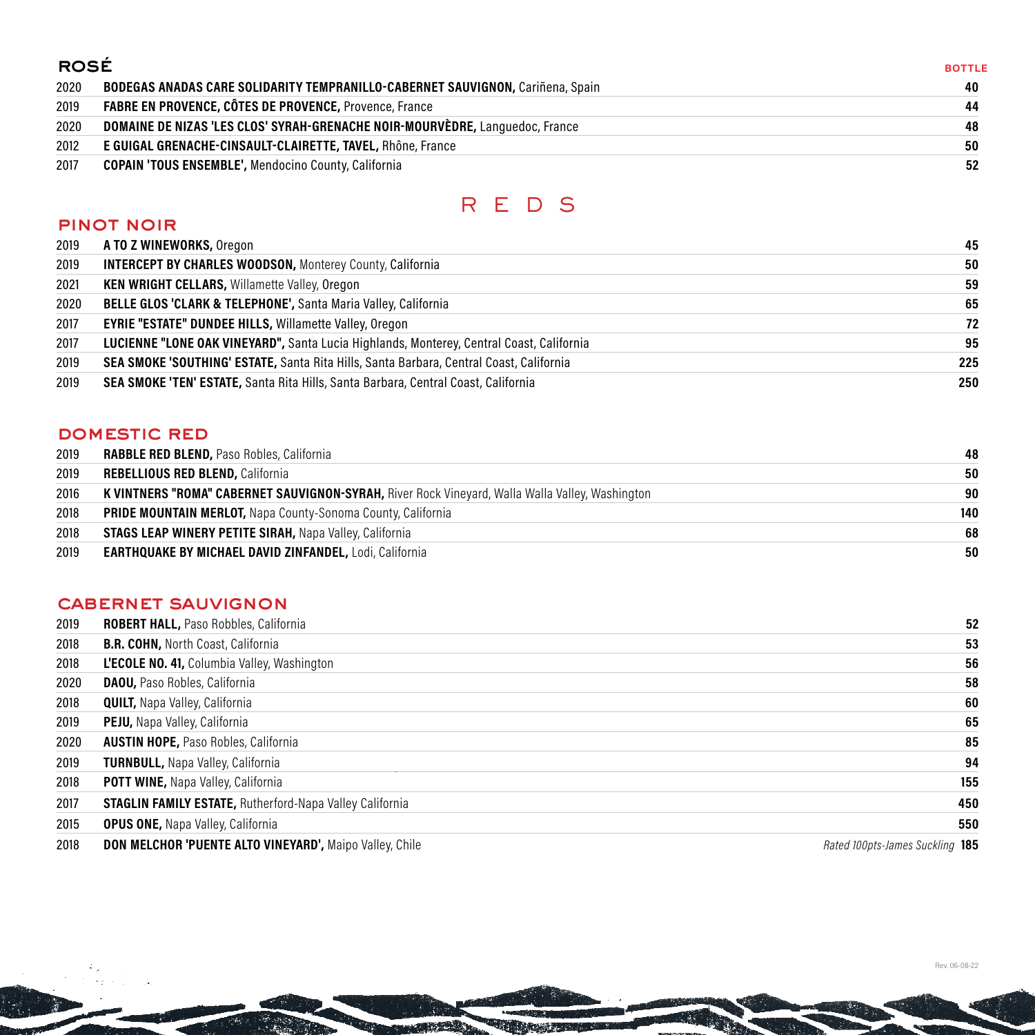## rosé

| <b>ROSÉ</b> |                                                                                       | <b>BOTTLE</b> |
|-------------|---------------------------------------------------------------------------------------|---------------|
| 2020        | <b>BODEGAS ANADAS CARE SOLIDARITY TEMPRANILLO-CABERNET SAUVIGNON, Cariñena, Spain</b> | 40            |
| 2019        | <b>FABRE EN PROVENCE, CÔTES DE PROVENCE, Provence, France</b>                         | 44            |
| 2020        | <b>DOMAINE DE NIZAS 'LES CLOS' SYRAH-GRENACHE NOIR-MOURVÈDRE, Languedoc, France</b>   | 48            |
| 2012        | E GUIGAL GRENACHE-CINSAULT-CLAIRETTE, TAVEL, Rhône, France                            | 50            |
| 2017        | <b>COPAIN 'TOUS ENSEMBLE', Mendocino County, California</b>                           | 52            |

# REDS

#### pinot noir

| 2019 | <b>A TO Z WINEWORKS, Oregon</b>                                                           | 45  |
|------|-------------------------------------------------------------------------------------------|-----|
| 2019 | <b>INTERCEPT BY CHARLES WOODSON, Monterey County, California</b>                          | 50  |
| 2021 | <b>KEN WRIGHT CELLARS, Willamette Valley, Oregon</b>                                      | 59  |
| 2020 | <b>BELLE GLOS 'CLARK &amp; TELEPHONE', Santa Maria Valley, California</b>                 | 65  |
| 2017 | <b>EYRIE "ESTATE" DUNDEE HILLS, Willamette Valley, Oregon</b>                             | 72  |
| 2017 | LUCIENNE "LONE OAK VINEYARD", Santa Lucia Highlands, Monterey, Central Coast, California  | 95  |
| 2019 | SEA SMOKE 'SOUTHING' ESTATE, Santa Rita Hills, Santa Barbara, Central Coast, California   | 225 |
| 2019 | <b>SEA SMOKE 'TEN' ESTATE, Santa Rita Hills, Santa Barbara, Central Coast, California</b> | 250 |

## domestic red

| 2019 | <b>RABBLE RED BLEND, Paso Robles, California</b>                                                | 48  |
|------|-------------------------------------------------------------------------------------------------|-----|
| 2019 | <b>REBELLIOUS RED BLEND, California</b>                                                         | 50  |
| 2016 | K VINTNERS "ROMA" CABERNET SAUVIGNON-SYRAH, River Rock Vineyard, Walla Walla Valley, Washington | 90  |
| 2018 | <b>PRIDE MOUNTAIN MERLOT, Napa County-Sonoma County, California</b>                             | 140 |
| 2018 | <b>STAGS LEAP WINERY PETITE SIRAH, Napa Valley, California</b>                                  | 68  |
| 2019 | <b>EARTHQUAKE BY MICHAEL DAVID ZINFANDEL, Lodi, California</b>                                  | 50  |

#### cabernet sauvignon

| 2019 | <b>ROBERT HALL, Paso Robbles, California</b>                    | 52                              |
|------|-----------------------------------------------------------------|---------------------------------|
| 2018 | <b>B.R. COHN, North Coast, California</b>                       | 53                              |
| 2018 | <b>L'ECOLE NO. 41, Columbia Valley, Washington</b>              | 56                              |
| 2020 | <b>DAOU, Paso Robles, California</b>                            | 58                              |
| 2018 | <b>QUILT, Napa Valley, California</b>                           | 60                              |
| 2019 | <b>PEJU, Napa Valley, California</b>                            | 65                              |
| 2020 | <b>AUSTIN HOPE, Paso Robles, California</b>                     | 85                              |
| 2019 | <b>TURNBULL, Napa Valley, California</b>                        | 94                              |
| 2018 | <b>POTT WINE, Napa Valley, California</b>                       | 155                             |
| 2017 | <b>STAGLIN FAMILY ESTATE, Rutherford-Napa Valley California</b> | 450                             |
| 2015 | <b>OPUS ONE, Napa Valley, California</b>                        | 550                             |
| 2018 | <b>DON MELCHOR 'PUENTE ALTO VINEYARD', Maipo Valley, Chile</b>  | Rated 100pts-James Suckling 185 |